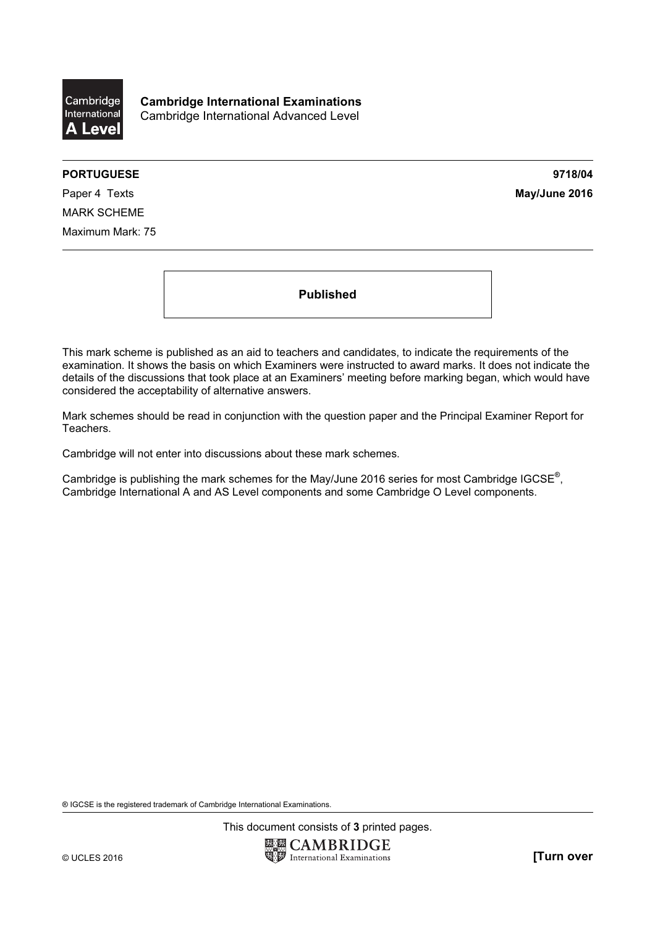

Cambridge International Examinations Cambridge International Advanced Level

## PORTUGUESE 9718/04

Paper 4 Texts **May/June 2016** MARK SCHEME Maximum Mark: 75

Published

This mark scheme is published as an aid to teachers and candidates, to indicate the requirements of the examination. It shows the basis on which Examiners were instructed to award marks. It does not indicate the details of the discussions that took place at an Examiners' meeting before marking began, which would have considered the acceptability of alternative answers.

Mark schemes should be read in conjunction with the question paper and the Principal Examiner Report for Teachers.

Cambridge will not enter into discussions about these mark schemes.

Cambridge is publishing the mark schemes for the May/June 2016 series for most Cambridge IGCSE*®* , Cambridge International A and AS Level components and some Cambridge O Level components.

® IGCSE is the registered trademark of Cambridge International Examinations.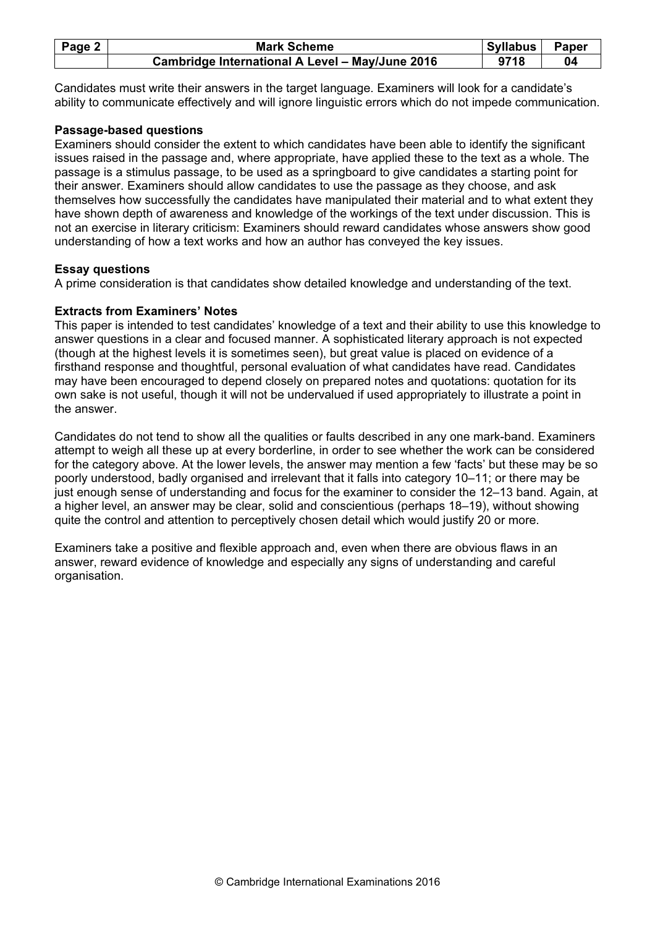| Page 2 $ $ | <b>Mark Scheme</b>                              | Syllabus | Paper |
|------------|-------------------------------------------------|----------|-------|
|            | Cambridge International A Level - May/June 2016 | 9718     | 04    |

Candidates must write their answers in the target language. Examiners will look for a candidate's ability to communicate effectively and will ignore linguistic errors which do not impede communication.

## Passage-based questions

Examiners should consider the extent to which candidates have been able to identify the significant issues raised in the passage and, where appropriate, have applied these to the text as a whole. The passage is a stimulus passage, to be used as a springboard to give candidates a starting point for their answer. Examiners should allow candidates to use the passage as they choose, and ask themselves how successfully the candidates have manipulated their material and to what extent they have shown depth of awareness and knowledge of the workings of the text under discussion. This is not an exercise in literary criticism: Examiners should reward candidates whose answers show good understanding of how a text works and how an author has conveyed the key issues.

## Essay questions

A prime consideration is that candidates show detailed knowledge and understanding of the text.

## Extracts from Examiners' Notes

This paper is intended to test candidates' knowledge of a text and their ability to use this knowledge to answer questions in a clear and focused manner. A sophisticated literary approach is not expected (though at the highest levels it is sometimes seen), but great value is placed on evidence of a firsthand response and thoughtful, personal evaluation of what candidates have read. Candidates may have been encouraged to depend closely on prepared notes and quotations: quotation for its own sake is not useful, though it will not be undervalued if used appropriately to illustrate a point in the answer.

Candidates do not tend to show all the qualities or faults described in any one mark-band. Examiners attempt to weigh all these up at every borderline, in order to see whether the work can be considered for the category above. At the lower levels, the answer may mention a few 'facts' but these may be so poorly understood, badly organised and irrelevant that it falls into category 10–11; or there may be just enough sense of understanding and focus for the examiner to consider the 12–13 band. Again, at a higher level, an answer may be clear, solid and conscientious (perhaps 18–19), without showing quite the control and attention to perceptively chosen detail which would justify 20 or more.

Examiners take a positive and flexible approach and, even when there are obvious flaws in an answer, reward evidence of knowledge and especially any signs of understanding and careful organisation.